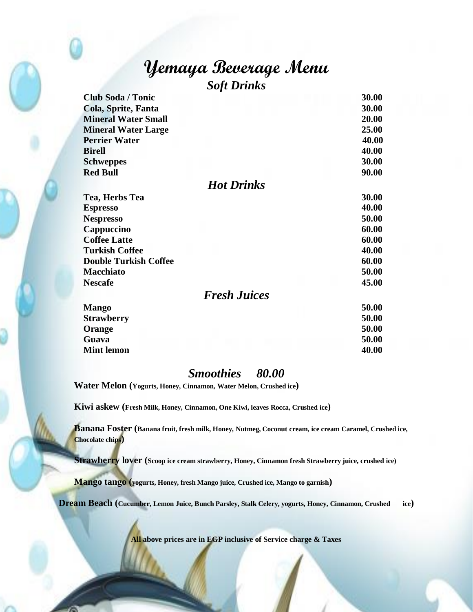## **Yemaya Beverage Menu** *Soft Drinks*

| <b>Club Soda / Tonic</b>     | 30.00 |
|------------------------------|-------|
| Cola, Sprite, Fanta          | 30.00 |
| <b>Mineral Water Small</b>   | 20.00 |
| <b>Mineral Water Large</b>   | 25.00 |
| <b>Perrier Water</b>         | 40.00 |
| <b>Birell</b>                | 40.00 |
| <b>Schweppes</b>             | 30.00 |
| <b>Red Bull</b>              | 90.00 |
| <b>Hot Drinks</b>            |       |
| Tea, Herbs Tea               | 30.00 |
| <b>Espresso</b>              | 40.00 |
| <b>Nespresso</b>             | 50.00 |
| Cappuccino                   | 60.00 |
| <b>Coffee Latte</b>          | 60.00 |
| <b>Turkish Coffee</b>        | 40.00 |
| <b>Double Turkish Coffee</b> | 60.00 |
| <b>Macchiato</b>             | 50.00 |
| <b>Nescafe</b>               | 45.00 |
| <b>Fresh Juices</b>          |       |
| <b>Mango</b>                 | 50.00 |
| <b>Strawberry</b>            | 50.00 |
| Orange                       | 50.00 |
| Guava                        | 50.00 |

## *Smoothies 80.00*

**Mint lemon 40.00**

**Water Melon (Yogurts, Honey, Cinnamon, Water Melon, Crushed ice)**

**Kiwi askew (Fresh Milk, Honey, Cinnamon, One Kiwi, leaves Rocca, Crushed ice)**

**Banana Foster (Banana fruit, fresh milk, Honey, Nutmeg, Coconut cream, ice cream Caramel, Crushed ice, Chocolate chips)**

**Strawberry lover (Scoop ice cream strawberry, Honey, Cinnamon fresh Strawberry juice, crushed ice)**

**Mango tango (yogurts, Honey, fresh Mango juice, Crushed ice, Mango to garnish)**

**Dream Beach (Cucumber, Lemon Juice, Bunch Parsley, Stalk Celery, yogurts, Honey, Cinnamon, Crushed ice)**

**All above prices are in EGP inclusive of Service charge & Taxes**